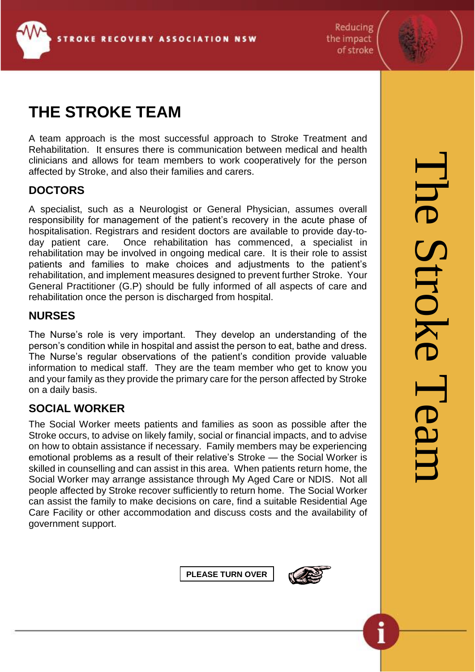

Reducing the impact of stroke



# **THE STROKE TEAM**

A team approach is the most successful approach to Stroke Treatment and Rehabilitation. It ensures there is communication between medical and health clinicians and allows for team members to work cooperatively for the person affected by Stroke, and also their families and carers.

# **DOCTORS**

A specialist, such as a Neurologist or General Physician, assumes overall responsibility for management of the patient's recovery in the acute phase of hospitalisation. Registrars and resident doctors are available to provide day-today patient care. Once rehabilitation has commenced, a specialist in rehabilitation may be involved in ongoing medical care. It is their role to assist patients and families to make choices and adjustments to the patient's rehabilitation, and implement measures designed to prevent further Stroke. Your General Practitioner (G.P) should be fully informed of all aspects of care and rehabilitation once the person is discharged from hospital.

#### **NURSES**

The Nurse's role is very important. They develop an understanding of the person's condition while in hospital and assist the person to eat, bathe and dress. The Nurse's regular observations of the patient's condition provide valuable information to medical staff. They are the team member who get to know you and your family as they provide the primary care for the person affected by Stroke on a daily basis.

# **SOCIAL WORKER**

The Social Worker meets patients and families as soon as possible after the Stroke occurs, to advise on likely family, social or financial impacts, and to advise on how to obtain assistance if necessary. Family members may be experiencing emotional problems as a result of their relative's Stroke — the Social Worker is skilled in counselling and can assist in this area. When patients return home, the Social Worker may arrange assistance through My Aged Care or NDIS. Not all people affected by Stroke recover sufficiently to return home. The Social Worker can assist the family to make decisions on care, find a suitable Residential Age Care Facility or other accommodation and discuss costs and the availability of government support.

**PLEASE TURN OVER**